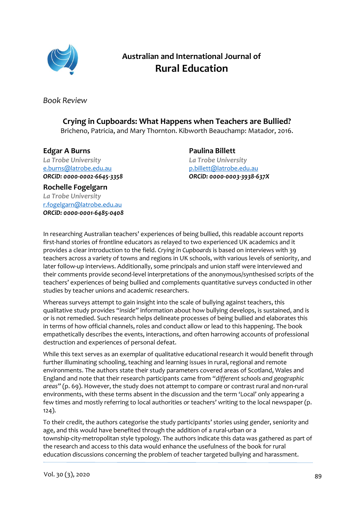

## **Australian and International Journal of Rural Education**

*Book Review*

## **Crying in Cupboards: What Happens when Teachers are Bullied?**

Bricheno, Patricia, and Mary Thornton. Kibworth Beauchamp: Matador, 2016.

## **Edgar A Burns**

*La Trobe University* [e.burns@latrobe.edu.au](mailto:e.burns@latrobe.edu.au) *ORCiD[: 0000-0002-6645-3358](https://orcid.org/0000-0002-6645-3358)*

**Paulina Billett** *La Trobe University* [p.billett@latrobe.edu.au](mailto:p.billett@latrobe.edu.au) *ORCiD: [0000-0003-3938-637X](https://orcid.org/0000-0003-3938-637X)*

**Rochelle Fogelgarn** *La Trobe University* [r.fogelgarn@latrobe.edu.au](mailto:r.fogelgarn@latrobe.edu.au) *ORCiD[: 0000-0001-6485-0408](https://orcid.org/0000-0001-6485-0408)*

In researching Australian teachers' experiences of being bullied, this readable account reports first-hand stories of frontline educators as relayed to two experienced UK academics and it provides a clear introduction to the field. *Crying in Cupboards* is based on interviews with 39 teachers across a variety of towns and regions in UK schools, with various levels of seniority, and later follow-up interviews. Additionally, some principals and union staff were interviewed and their comments provide second-level interpretations of the anonymous/synthesised scripts of the teachers' experiences of being bullied and complements quantitative surveys conducted in other studies by teacher unions and academic researchers.

Whereas surveys attempt to gain insight into the scale of bullying against teachers, this qualitative study provides *"inside"* information about how bullying develops, is sustained, and is or is not remedied. Such research helps delineate processes of being bullied and elaborates this in terms of how official channels, roles and conduct allow or lead to this happening. The book empathetically describes the events, interactions, and often harrowing accounts of professional destruction and experiences of personal defeat.

While this text serves as an exemplar of qualitative educational research it would benefit through further illuminating schooling, teaching and learning issues in rural, regional and remote environments. The authors state their study parameters covered areas of Scotland, Wales and England and note that their research participants came from *"different schools and geographic areas"* (p. 69). However, the study does not attempt to compare or contrast rural and non-rural environments, with these terms absent in the discussion and the term 'Local' only appearing a few times and mostly referring to local authorities or teachers' writing to the local newspaper (p. 124).

To their credit, the authors categorise the study participants' stories using gender, seniority and age, and this would have benefited through the addition of a rural-urban or a township-city-metropolitan style typology. The authors indicate this data was gathered as part of the research and access to this data would enhance the usefulness of the book for rural education discussions concerning the problem of teacher targeted bullying and harassment.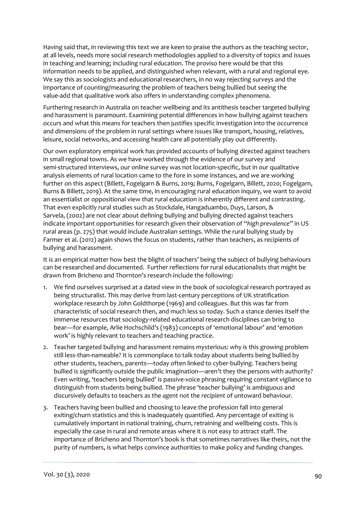Having said that, in reviewing this text we are keen to praise the authors as the teaching sector, at all levels, needs more social research methodologies applied to a diversity of topics and issues in teaching and learning; including rural education. The proviso here would be that this information needs to be applied, and distinguished when relevant, with a rural and regional eye. We say this as sociologists and educational researchers, in no way rejecting surveys and the importance of counting/measuring the problem of teachers being bullied but seeing the value-add that qualitative work also offers in understanding complex phenomena.

Furthering research in Australia on teacher wellbeing and its antithesis teacher targeted bullying and harassment is paramount. Examining potential differences in how bullying against teachers occurs and what this means for teachers then justifies specific investigation into the occurrence and dimensions of the problem in rural settings where issues like transport, housing, relatives, leisure, social networks, and accessing health care all potentially play out differently.

Our own exploratory empirical work has provided accounts of bullying directed against teachers in small regional towns. As we have worked through the evidence of our survey and semi-structured interviews, our online survey was not location-specific, but in our qualitative analysis elements of rural location came to the fore in some instances, and we are working further on this aspect (Billett, Fogelgarn & Burns, 2019; Burns, Fogelgarn, Billett, 2020; Fogelgarn, Burns & Billett, 2019). At the same time, in encouraging rural education inquiry, we want to avoid an essentialist or oppositional view that rural education is inherently different and contrasting. That even explicitly rural studies such as Stockdale, Hangaduambo, Duys, Larson, & Sarvela, (2002) are not clear about defining bullying and bullying directed against teachers indicate important opportunities for research given their observation of *"high prevalence"* in US rural areas (p. 275) that would include Australian settings. While the rural bullying study by Farmer et al. (2012) again shows the focus on students, rather than teachers, as recipients of bullying and harassment.

It is an empirical matter how best the blight of teachers' being the subject of bullying behaviours can be researched and documented. Further reflections for rural educationalists that might be drawn from Bricheno and Thornton's research include the following:

- 1. We find ourselves surprised at a dated view in the book of sociological research portrayed as being structuralist. This may derive from last-century perceptions of UK stratification workplace research by John Goldthorpe (1969) and colleagues. But this was far from characteristic of social research then, and much less so today. Such a stance denies itself the immense resources that sociology-related educational research disciplines can bring to bear—for example, Arlie Hochschild's (1983) concepts of 'emotional labour' and 'emotion work' is highly relevant to teachers and teaching practice.
- 2. Teacher targeted bullying and harassment remains mysterious: why is this growing problem still less-than-nameable? It is commonplace to talk today about students being bullied by other students, teachers, parents—today often linked to cyber-bullying. Teachers being bullied is significantly outside the public imagination—aren't they the persons with authority? Even writing, 'teachers being bullied' is passive-voice phrasing requiring constant vigilance to distinguish from students being bullied. The phrase 'teacher bullying' is ambiguous and discursively defaults to teachers as the *agent* not the *recipient* of untoward behaviour.
- 3. Teachers having been bullied and choosing to leave the profession fall into general exiting/churn statistics and this is inadequately quantified. Any percentage of exiting is cumulatively important in national training, churn, retraining and wellbeing costs. This is especially the case in rural and remote areas where it is not easy to attract staff. The importance of Bricheno and Thornton's book is that sometimes narratives like theirs, not the purity of numbers, is what helps convince authorities to make policy and funding changes*.*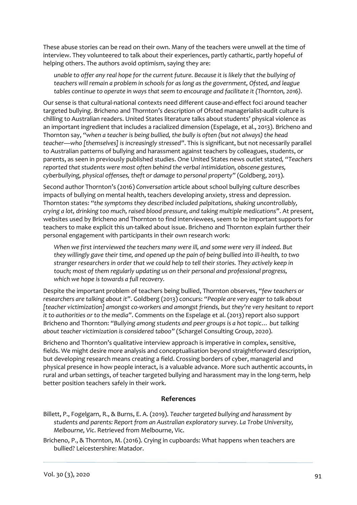These abuse stories can be read on their own. Many of the teachers were unwell at the time of interview. They volunteered to talk about their experiences, partly cathartic, partly hopeful of helping others. The authors avoid optimism, saying they are:

*unable to offer any real hope for the current future. Because it is likely that the bullying of teachers will remain a problem in schools for as long as the government, Ofsted, and league tables continue to operate in ways that seem to encourage and facilitate it (Thornton, 2016).* 

Our sense is that cultural-national contexts need different cause-and-effect foci around teacher targeted bullying. Bricheno and Thornton's description of Ofsted managerialist-audit culture is chilling to Australian readers. United States literature talks about students' physical violence as an important ingredient that includes a racialized dimension (Espelage, et al., 2013). Bricheno and Thornton say, *"when a teacher is being bullied, the bully is often (but not always) the [head](http://www.troubador.co.uk/book_info.asp?bookid=3953)  [teacher](http://www.troubador.co.uk/book_info.asp?bookid=3953)—who [themselves] is increasingly stressed"*. This is significant, but not necessarily parallel to Australian patterns of bullying and harassment against teachers by colleagues, students, or parents, as seen in previously published studies. One United States news outlet stated*, "Teachers reported that students were most often behind the verbal intimidation, obscene gestures, cyberbullying, physical offenses, theft or damage to personal property"* (Goldberg, 2013).

Second author Thornton's (2016) *Conversation* article about school bullying culture describes impacts of bullying on mental health, teachers developing anxiety, stress and depression. Thornton states: *"the symptoms they described included palpitations, shaking uncontrollably, crying a lot, drinking too much, raised blood pressure, and taking multiple medications"*. At present, websites used by Bricheno and Thornton to find interviewees, seem to be important supports for teachers to make explicit this un-talked about issue. Bricheno and Thornton explain further their personal engagement with participants in their own research work:

*When we first interviewed the teachers many were ill, and some were very ill indeed. But they willingly gave their time, and opened up the pain of being bullied into ill-health, to two stranger researchers in order that we could help to tell their stories. They actively keep in touch; most of them regularly updating us on their personal and professional progress, which we hope is towards a full recovery.*

Despite the important problem of teachers being bullied, Thornton observes, *"few teachers or researchers are talking about it"*. Goldberg (2013) concurs: *"People are very eager to talk about [teacher victimization] amongst co-workers and amongst friends, but they're very hesitant to report it to authorities or to the media"*. Comments on the Espelage et al. (2013) report also support Bricheno and Thornton: *"Bullying among students and peer groups is a hot topic… but talking about teacher victimization is considered taboo"* (Schargel Consulting Group, 2020).

Bricheno and Thornton's qualitative interview approach is imperative in complex, sensitive, fields. We might desire more analysis and conceptualisation beyond straightforward description, but developing research means creating a field. Crossing borders of cyber, managerial and physical presence in how people interact, is a valuable advance. More such authentic accounts, in rural and urban settings, of teacher targeted bullying and harassment may in the long-term, help better position teachers safely in their work.

## **References**

Billett, P., Fogelgarn, R., & Burns, E. A. (2019). *Teacher targeted bullying and harassment by students and parents: Report from an Australian exploratory survey. La Trobe University, Melbourne, Vic*. Retrieved from Melbourne, Vic.

Bricheno, P., & Thornton, M. (2016). Crying in cupboards: What happens when teachers are bullied? Leicestershire: Matador.